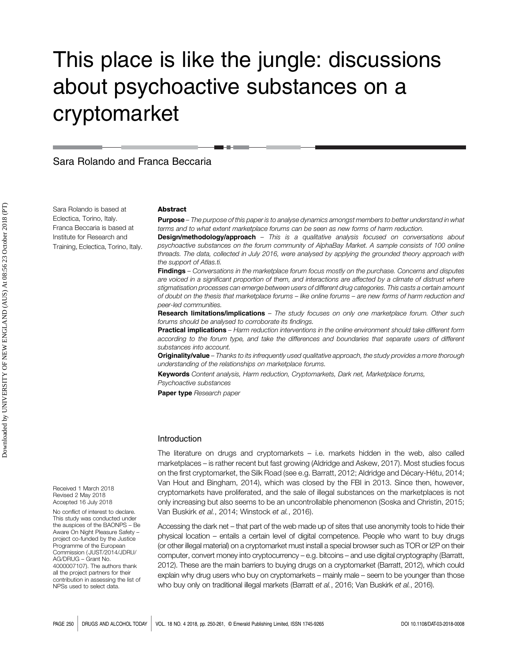# This place is like the jungle: discussions about psychoactive substances on a cryptomarket

Sara Rolando and Franca Beccaria

Sara Rolando is based at Eclectica, Torino, Italy. Franca Beccaria is based at Institute for Research and Training, Eclectica, Torino, Italy.

#### **Abstract**

**Purpose** – The purpose of this paper is to analyse dynamics amongst members to better understand in what terms and to what extent marketplace forums can be seen as new forms of harm reduction.

**Design/methodology/approach** - This is a qualitative analysis focused on conversations about psychoactive substances on the forum community of AlphaBay Market. A sample consists of 100 online threads. The data, collected in July 2016, were analysed by applying the grounded theory approach with the support of Atlas.ti.

Findings – Conversations in the marketplace forum focus mostly on the purchase. Concerns and disputes are voiced in a significant proportion of them, and interactions are affected by a climate of distrust where stigmatisation processes can emerge between users of different drug categories. This casts a certain amount of doubt on the thesis that marketplace forums – like online forums – are new forms of harm reduction and peer-led communities.

Research limitations/implications – The study focuses on only one marketplace forum. Other such forums should be analysed to corroborate its findings.

Practical implications – Harm reduction interventions in the online environment should take different form according to the forum type, and take the differences and boundaries that separate users of different substances into account.

Originality/value – Thanks to its infrequently used qualitative approach, the study provides a more thorough understanding of the relationships on marketplace forums.

Keywords Content analysis, Harm reduction, Cryptomarkets, Dark net, Marketplace forums Psychoactive substances

Paper type Research paper

### Introduction

The literature on drugs and cryptomarkets – i.e. markets hidden in the web, also called marketplaces – is rather recent but fast growing (Aldridge and Askew, 2017). Most studies focus on the first cryptomarket, the Silk Road (see e.g. Barratt, 2012; Aldridge and Décary-Hétu, 2014; Van Hout and Bingham, 2014), which was closed by the FBI in 2013. Since then, however, cryptomarkets have proliferated, and the sale of illegal substances on the marketplaces is not only increasing but also seems to be an uncontrollable phenomenon (Soska and Christin, 2015; Van Buskirk et al., 2014; Winstock et al., 2016).

Accessing the dark net – that part of the web made up of sites that use anonymity tools to hide their physical location – entails a certain level of digital competence. People who want to buy drugs (or other illegal material) on a cryptomarket must install a special browser such as TOR or I2P on their computer, convert money into cryptocurrency – e.g. bitcoins – and use digital cryptography (Barratt, 2012). These are the main barriers to buying drugs on a cryptomarket (Barratt, 2012), which could explain why drug users who buy on cryptomarkets – mainly male – seem to be younger than those who buy only on traditional illegal markets (Barratt et al., 2016; Van Buskirk et al., 2016).

Received 1 March 2018 Revised 2 May 2018 Accepted 16 July 2018

No conflict of interest to declare. This study was conducted under the auspices of the BAONPS – Be Aware On Night Pleasure Safety – project co-funded by the Justice Programme of the European Commission ( JUST/2014/JDRU/ AG/DRUG – Grant No. 4000007107). The authors thank all the project partners for their contribution in assessing the list of NPSs used to select data.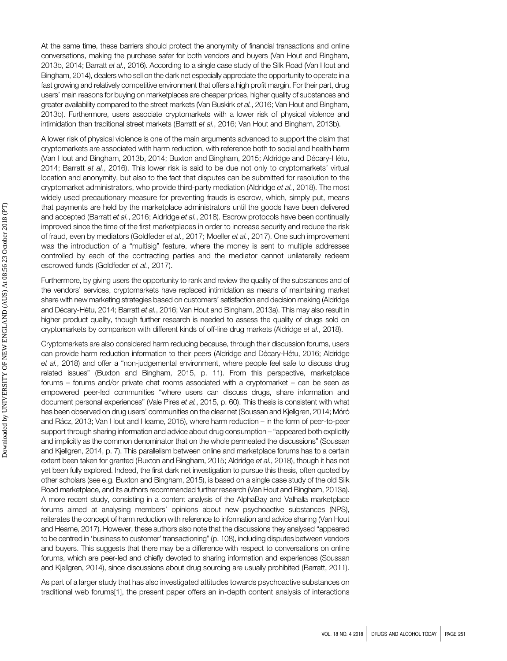At the same time, these barriers should protect the anonymity of financial transactions and online conversations, making the purchase safer for both vendors and buyers (Van Hout and Bingham, 2013b, 2014; Barratt et al., 2016). According to a single case study of the Silk Road (Van Hout and Bingham, 2014), dealers who sell on the dark net especially appreciate the opportunity to operate in a fast growing and relatively competitive environment that offers a high profit margin. For their part, drug users' main reasons for buying on marketplaces are cheaper prices, higher quality of substances and greater availability compared to the street markets (Van Buskirk et al., 2016; Van Hout and Bingham, 2013b). Furthermore, users associate cryptomarkets with a lower risk of physical violence and intimidation than traditional street markets (Barratt et al., 2016; Van Hout and Bingham, 2013b).

A lower risk of physical violence is one of the main arguments advanced to support the claim that cryptomarkets are associated with harm reduction, with reference both to social and health harm (Van Hout and Bingham, 2013b, 2014; Buxton and Bingham, 2015; Aldridge and Décary-Hétu, 2014; Barratt et al., 2016). This lower risk is said to be due not only to cryptomarkets' virtual location and anonymity, but also to the fact that disputes can be submitted for resolution to the cryptomarket administrators, who provide third-party mediation (Aldridge et al., 2018). The most widely used precautionary measure for preventing frauds is escrow, which, simply put, means that payments are held by the marketplace administrators until the goods have been delivered and accepted (Barratt et al., 2016; Aldridge et al., 2018). Escrow protocols have been continually improved since the time of the first marketplaces in order to increase security and reduce the risk of fraud, even by mediators (Goldfeder et al., 2017; Moeller et al., 2017). One such improvement was the introduction of a "multisig" feature, where the money is sent to multiple addresses controlled by each of the contracting parties and the mediator cannot unilaterally redeem escrowed funds (Goldfeder et al., 2017).

Furthermore, by giving users the opportunity to rank and review the quality of the substances and of the vendors' services, cryptomarkets have replaced intimidation as means of maintaining market share with new marketing strategies based on customers' satisfaction and decision making (Aldridge and Décary-Hétu, 2014; Barratt et al., 2016; Van Hout and Bingham, 2013a). This may also result in higher product quality, though further research is needed to assess the quality of drugs sold on cryptomarkets by comparison with different kinds of off-line drug markets (Aldridge et al., 2018).

Cryptomarkets are also considered harm reducing because, through their discussion forums, users can provide harm reduction information to their peers (Aldridge and Décary-Hétu, 2016; Aldridge et al., 2018) and offer a "non-judgemental environment, where people feel safe to discuss drug related issues" (Buxton and Bingham, 2015, p. 11). From this perspective, marketplace forums – forums and/or private chat rooms associated with a cryptomarket – can be seen as empowered peer-led communities "where users can discuss drugs, share information and document personal experiences" (Vale Pires et al., 2015, p. 60). This thesis is consistent with what has been observed on drug users' communities on the clear net (Soussan and Kjellgren, 2014; Móró and Rácz, 2013; Van Hout and Hearne, 2015), where harm reduction – in the form of peer-to-peer support through sharing information and advice about drug consumption – "appeared both explicitly and implicitly as the common denominator that on the whole permeated the discussions" (Soussan and Kjellgren, 2014, p. 7). This parallelism between online and marketplace forums has to a certain extent been taken for granted (Buxton and Bingham, 2015; Aldridge et al., 2018), though it has not yet been fully explored. Indeed, the first dark net investigation to pursue this thesis, often quoted by other scholars (see e.g. Buxton and Bingham, 2015), is based on a single case study of the old Silk Road marketplace, and its authors recommended further research (Van Hout and Bingham, 2013a). A more recent study, consisting in a content analysis of the AlphaBay and Valhalla marketplace forums aimed at analysing members' opinions about new psychoactive substances (NPS), reiterates the concept of harm reduction with reference to information and advice sharing (Van Hout and Hearne, 2017). However, these authors also note that the discussions they analysed "appeared to be centred in 'business to customer' transactioning" (p. 108), including disputes between vendors and buyers. This suggests that there may be a difference with respect to conversations on online forums, which are peer-led and chiefly devoted to sharing information and experiences (Soussan and Kjellgren, 2014), since discussions about drug sourcing are usually prohibited (Barratt, 2011).

As part of a larger study that has also investigated attitudes towards psychoactive substances on traditional web forums[1], the present paper offers an in-depth content analysis of interactions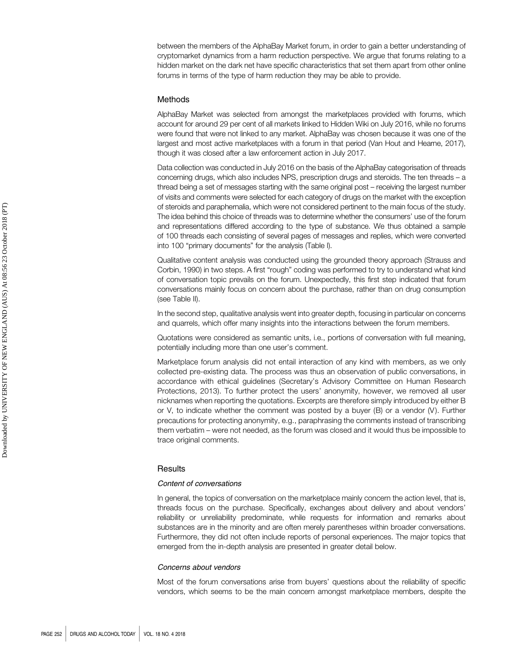between the members of the AlphaBay Market forum, in order to gain a better understanding of cryptomarket dynamics from a harm reduction perspective. We argue that forums relating to a hidden market on the dark net have specific characteristics that set them apart from other online forums in terms of the type of harm reduction they may be able to provide.

#### Methods

AlphaBay Market was selected from amongst the marketplaces provided with forums, which account for around 29 per cent of all markets linked to Hidden Wiki on July 2016, while no forums were found that were not linked to any market. AlphaBay was chosen because it was one of the largest and most active marketplaces with a forum in that period (Van Hout and Hearne, 2017), though it was closed after a law enforcement action in July 2017.

Data collection was conducted in July 2016 on the basis of the AlphaBay categorisation of threads concerning drugs, which also includes NPS, prescription drugs and steroids. The ten threads – a thread being a set of messages starting with the same original post – receiving the largest number of visits and comments were selected for each category of drugs on the market with the exception of steroids and paraphernalia, which were not considered pertinent to the main focus of the study. The idea behind this choice of threads was to determine whether the consumers' use of the forum and representations differed according to the type of substance. We thus obtained a sample of 100 threads each consisting of several pages of messages and replies, which were converted into 100 "primary documents" for the analysis (Table I).

Qualitative content analysis was conducted using the grounded theory approach (Strauss and Corbin, 1990) in two steps. A first "rough" coding was performed to try to understand what kind of conversation topic prevails on the forum. Unexpectedly, this first step indicated that forum conversations mainly focus on concern about the purchase, rather than on drug consumption (see Table II).

In the second step, qualitative analysis went into greater depth, focusing in particular on concerns and quarrels, which offer many insights into the interactions between the forum members.

Quotations were considered as semantic units, i.e., portions of conversation with full meaning, potentially including more than one user's comment.

Marketplace forum analysis did not entail interaction of any kind with members, as we only collected pre-existing data. The process was thus an observation of public conversations, in accordance with ethical guidelines (Secretary's Advisory Committee on Human Research Protections, 2013). To further protect the users' anonymity, however, we removed all user nicknames when reporting the quotations. Excerpts are therefore simply introduced by either B or V, to indicate whether the comment was posted by a buyer (B) or a vendor  $(V)$ . Further precautions for protecting anonymity, e.g., paraphrasing the comments instead of transcribing them verbatim – were not needed, as the forum was closed and it would thus be impossible to trace original comments.

## **Results**

## Content of conversations

In general, the topics of conversation on the marketplace mainly concern the action level, that is, threads focus on the purchase. Specifically, exchanges about delivery and about vendors' reliability or unreliability predominate, while requests for information and remarks about substances are in the minority and are often merely parentheses within broader conversations. Furthermore, they did not often include reports of personal experiences. The major topics that emerged from the in-depth analysis are presented in greater detail below.

## Concerns about vendors

Most of the forum conversations arise from buyers' questions about the reliability of specific vendors, which seems to be the main concern amongst marketplace members, despite the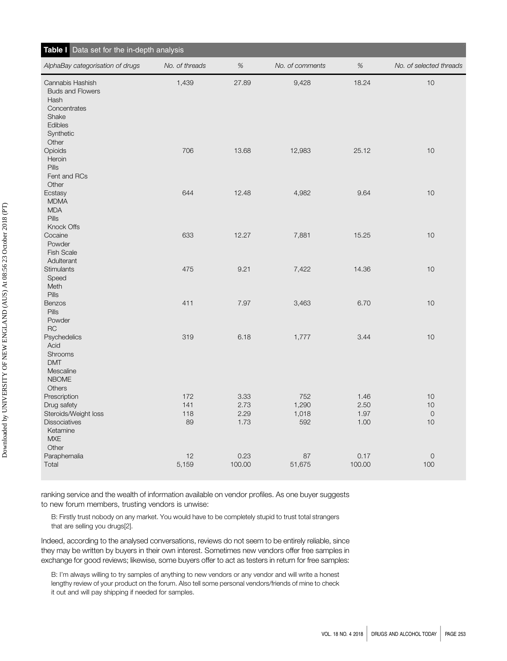| Table I Data set for the in-depth analysis                                                                    |                         |                              |                              |                              |                                |
|---------------------------------------------------------------------------------------------------------------|-------------------------|------------------------------|------------------------------|------------------------------|--------------------------------|
| AlphaBay categorisation of drugs                                                                              | No. of threads          | $\%$                         | No. of comments              | $\%$                         | No. of selected threads        |
| Cannabis Hashish<br><b>Buds and Flowers</b><br>Hash<br>Concentrates<br>Shake<br>Edibles<br>Synthetic<br>Other | 1,439                   | 27.89                        | 9,428                        | 18.24                        | 10                             |
| Opioids<br>Heroin<br>Pills<br>Fent and RCs<br>Other                                                           | 706                     | 13.68                        | 12,983                       | 25.12                        | 10                             |
| Ecstasy<br><b>MDMA</b><br><b>MDA</b><br><b>Pills</b><br>Knock Offs                                            | 644                     | 12.48                        | 4,982                        | 9.64                         | 10                             |
| Cocaine<br>Powder<br><b>Fish Scale</b><br>Adulterant                                                          | 633                     | 12.27                        | 7,881                        | 15.25                        | 10                             |
| Stimulants<br>Speed<br>Meth<br>Pills                                                                          | 475                     | 9.21                         | 7,422                        | 14.36                        | $10$                           |
| Benzos<br>Pills<br>Powder<br><b>RC</b>                                                                        | 411                     | 7.97                         | 3,463                        | 6.70                         | 10                             |
| <b>Psychedelics</b><br>Acid<br>Shrooms<br><b>DMT</b><br>Mescaline<br><b>NBOME</b><br>Others                   | 319                     | 6.18                         | 1,777                        | 3.44                         | 10                             |
| Prescription<br>Drug safety<br>Steroids/Weight loss<br>Dissociatives<br>Ketamine<br><b>MXE</b><br>Other       | 172<br>141<br>118<br>89 | 3.33<br>2.73<br>2.29<br>1.73 | 752<br>1,290<br>1,018<br>592 | 1.46<br>2.50<br>1.97<br>1.00 | 10<br>10<br>$\mathbf{O}$<br>10 |
| Paraphernalia<br>Total                                                                                        | 12<br>5,159             | 0.23<br>100.00               | 87<br>51,675                 | 0.17<br>100.00               | $\mathsf{O}\xspace$<br>100     |

ranking service and the wealth of information available on vendor profiles. As one buyer suggests to new forum members, trusting vendors is unwise:

B: Firstly trust nobody on any market. You would have to be completely stupid to trust total strangers that are selling you drugs[2].

Indeed, according to the analysed conversations, reviews do not seem to be entirely reliable, since they may be written by buyers in their own interest. Sometimes new vendors offer free samples in exchange for good reviews; likewise, some buyers offer to act as testers in return for free samples:

B: I'm always willing to try samples of anything to new vendors or any vendor and will write a honest lengthy review of your product on the forum. Also tell some personal vendors/friends of mine to check it out and will pay shipping if needed for samples.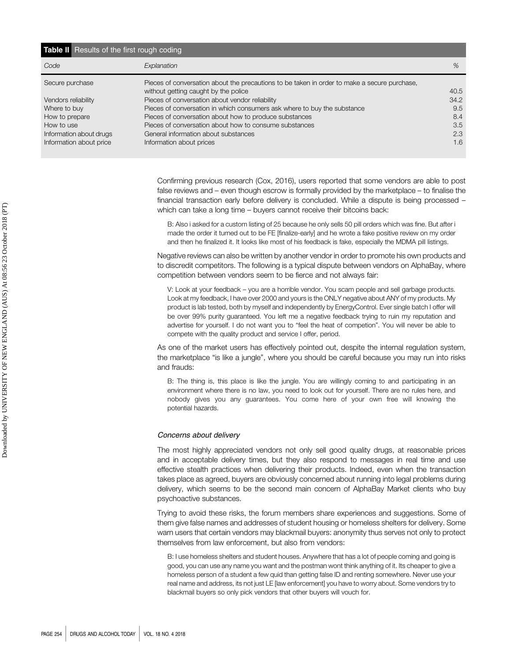| <b>Table II</b> Results of the first rough coding |                                                                                              |      |  |  |  |
|---------------------------------------------------|----------------------------------------------------------------------------------------------|------|--|--|--|
| Code                                              | Explanation                                                                                  | %    |  |  |  |
| Secure purchase                                   | Pieces of conversation about the precautions to be taken in order to make a secure purchase, |      |  |  |  |
|                                                   | without getting caught by the police                                                         | 40.5 |  |  |  |
| Vendors reliability                               | Pieces of conversation about vendor reliability                                              | 34.2 |  |  |  |
| Where to buy                                      | Pieces of conversation in which consumers ask where to buy the substance                     | 9.5  |  |  |  |
| How to prepare                                    | Pieces of conversation about how to produce substances                                       | 8.4  |  |  |  |
| How to use                                        | Pieces of conversation about how to consume substances                                       | 3.5  |  |  |  |
| Information about drugs                           | General information about substances                                                         | 2.3  |  |  |  |
| Information about price                           | Information about prices                                                                     | 1.6  |  |  |  |

Confirming previous research (Cox, 2016), users reported that some vendors are able to post false reviews and – even though escrow is formally provided by the marketplace – to finalise the financial transaction early before delivery is concluded. While a dispute is being processed – which can take a long time – buyers cannot receive their bitcoins back:

B: Also i asked for a custom listing of 25 because he only sells 50 pill orders which was fine. But after i made the order it turned out to be FE [finalize-early] and he wrote a fake positive review on my order and then he finalized it. It looks like most of his feedback is fake, especially the MDMA pill listings.

Negative reviews can also be written by another vendor in order to promote his own products and to discredit competitors. The following is a typical dispute between vendors on AlphaBay, where competition between vendors seem to be fierce and not always fair:

V: Look at your feedback – you are a horrible vendor. You scam people and sell garbage products. Look at my feedback, I have over 2000 and yours is the ONLY negative about ANY of my products. My product is lab tested, both by myself and independently by EnergyControl. Ever single batch I offer will be over 99% purity guaranteed. You left me a negative feedback trying to ruin my reputation and advertise for yourself. I do not want you to "feel the heat of competion". You will never be able to compete with the quality product and service I offer, period.

As one of the market users has effectively pointed out, despite the internal regulation system, the marketplace "is like a jungle", where you should be careful because you may run into risks and frauds:

B: The thing is, this place is like the jungle. You are willingly coming to and participating in an environment where there is no law, you need to look out for yourself. There are no rules here, and nobody gives you any guarantees. You come here of your own free will knowing the potential hazards.

## Concerns about delivery

The most highly appreciated vendors not only sell good quality drugs, at reasonable prices and in acceptable delivery times, but they also respond to messages in real time and use effective stealth practices when delivering their products. Indeed, even when the transaction takes place as agreed, buyers are obviously concerned about running into legal problems during delivery, which seems to be the second main concern of AlphaBay Market clients who buy psychoactive substances.

Trying to avoid these risks, the forum members share experiences and suggestions. Some of them give false names and addresses of student housing or homeless shelters for delivery. Some warn users that certain vendors may blackmail buyers: anonymity thus serves not only to protect themselves from law enforcement, but also from vendors:

B: I use homeless shelters and student houses. Anywhere that has a lot of people coming and going is good, you can use any name you want and the postman wont think anything of it. Its cheaper to give a homeless person of a student a few quid than getting false ID and renting somewhere. Never use your real name and address, its not just LE [law enforcement] you have to worry about. Some vendors try to blackmail buyers so only pick vendors that other buyers will vouch for.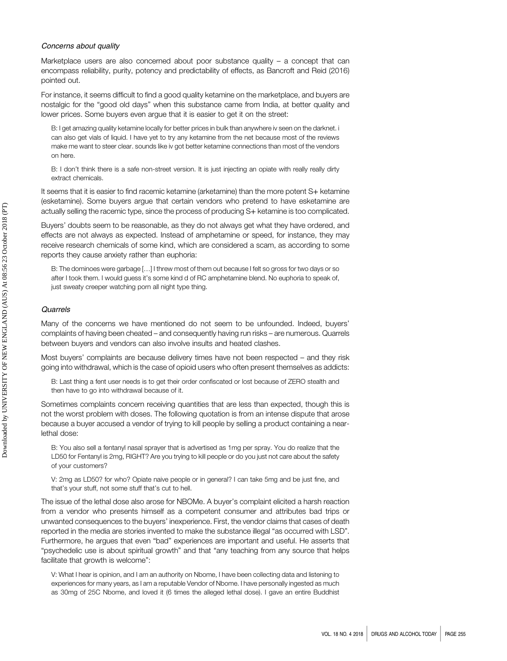## Concerns about quality

Marketplace users are also concerned about poor substance quality – a concept that can encompass reliability, purity, potency and predictability of effects, as Bancroft and Reid (2016) pointed out.

For instance, it seems difficult to find a good quality ketamine on the marketplace, and buyers are nostalgic for the "good old days" when this substance came from India, at better quality and lower prices. Some buyers even argue that it is easier to get it on the street:

B: I get amazing quality ketamine locally for better prices in bulk than anywhere iv seen on the darknet. i can also get vials of liquid. I have yet to try any ketamine from the net because most of the reviews make me want to steer clear. sounds like iv got better ketamine connections than most of the vendors on here.

B: I don't think there is a safe non-street version. It is just injecting an opiate with really really dirty extract chemicals.

It seems that it is easier to find racemic ketamine (arketamine) than the more potent S+ ketamine (esketamine). Some buyers argue that certain vendors who pretend to have esketamine are actually selling the racemic type, since the process of producing S+ ketamine is too complicated.

Buyers' doubts seem to be reasonable, as they do not always get what they have ordered, and effects are not always as expected. Instead of amphetamine or speed, for instance, they may receive research chemicals of some kind, which are considered a scam, as according to some reports they cause anxiety rather than euphoria:

B: The dominoes were garbage […] I threw most of them out because I felt so gross for two days or so after I took them. I would guess it's some kind d of RC amphetamine blend. No euphoria to speak of, just sweaty creeper watching porn all night type thing.

## Quarrels

Many of the concerns we have mentioned do not seem to be unfounded. Indeed, buyers' complaints of having been cheated – and consequently having run risks – are numerous. Quarrels between buyers and vendors can also involve insults and heated clashes.

Most buyers' complaints are because delivery times have not been respected – and they risk going into withdrawal, which is the case of opioid users who often present themselves as addicts:

B: Last thing a fent user needs is to get their order confiscated or lost because of ZERO stealth and then have to go into withdrawal because of it.

Sometimes complaints concern receiving quantities that are less than expected, though this is not the worst problem with doses. The following quotation is from an intense dispute that arose because a buyer accused a vendor of trying to kill people by selling a product containing a nearlethal dose:

B: You also sell a fentanyl nasal sprayer that is advertised as 1mg per spray. You do realize that the LD50 for Fentanyl is 2mg, RIGHT? Are you trying to kill people or do you just not care about the safety of your customers?

V: 2mg as LD50? for who? Opiate naive people or in general? I can take 5mg and be just fine, and that's your stuff, not some stuff that's cut to hell.

The issue of the lethal dose also arose for NBOMe. A buyer's complaint elicited a harsh reaction from a vendor who presents himself as a competent consumer and attributes bad trips or unwanted consequences to the buyers' inexperience. First, the vendor claims that cases of death reported in the media are stories invented to make the substance illegal "as occurred with LSD". Furthermore, he argues that even "bad" experiences are important and useful. He asserts that "psychedelic use is about spiritual growth" and that "any teaching from any source that helps facilitate that growth is welcome":

V: What I hear is opinion, and I am an authority on Nbome, I have been collecting data and listening to experiences for many years, as I am a reputable Vendor of Nbome. I have personally ingested as much as 30mg of 25C Nbome, and loved it (6 times the alleged lethal dose). I gave an entire Buddhist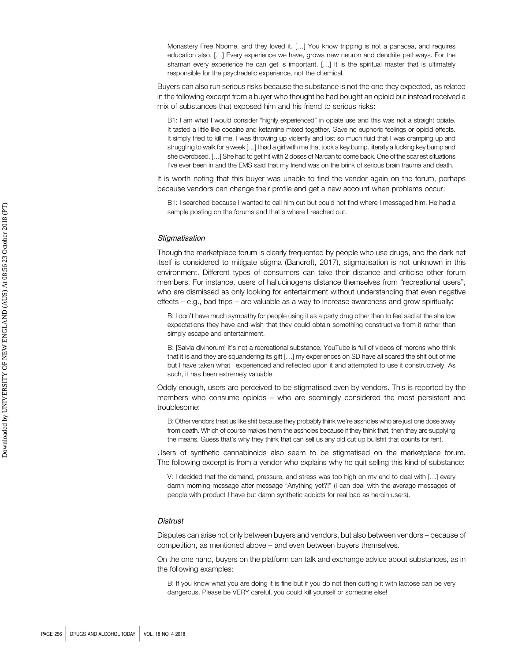Monastery Free Nbome, and they loved it. […] You know tripping is not a panacea, and requires education also. […] Every experience we have, grows new neuron and dendrite pathways. For the shaman every experience he can get is important. […] It is the spiritual master that is ultimately responsible for the psychedelic experience, not the chemical.

Buyers can also run serious risks because the substance is not the one they expected, as related in the following excerpt from a buyer who thought he had bought an opioid but instead received a mix of substances that exposed him and his friend to serious risks:

B1: I am what I would consider "highly experienced" in opiate use and this was not a straight opiate. It tasted a little like cocaine and ketamine mixed together. Gave no euphoric feelings or opioid effects. It simply tried to kill me. I was throwing up violently and lost so much fluid that I was cramping up and struggling to walk for a week […] I had a girl with me that took a key bump. literally a fucking key bump and she overdosed. […] She had to get hit with 2 doses of Narcan to come back. One of the scariest situations I've ever been in and the EMS said that my friend was on the brink of serious brain trauma and death.

It is worth noting that this buyer was unable to find the vendor again on the forum, perhaps because vendors can change their profile and get a new account when problems occur:

B1: I searched because I wanted to call him out but could not find where I messaged him. He had a sample posting on the forums and that's where I reached out.

## **Stigmatisation**

Though the marketplace forum is clearly frequented by people who use drugs, and the dark net itself is considered to mitigate stigma (Bancroft, 2017), stigmatisation is not unknown in this environment. Different types of consumers can take their distance and criticise other forum members. For instance, users of hallucinogens distance themselves from "recreational users", who are dismissed as only looking for entertainment without understanding that even negative effects – e.g., bad trips – are valuable as a way to increase awareness and grow spiritually:

B: I don't have much sympathy for people using it as a party drug other than to feel sad at the shallow expectations they have and wish that they could obtain something constructive from it rather than simply escape and entertainment.

B: [Salvia divinorum] it's not a recreational substance. YouTube is full of videos of morons who think that it is and they are squandering its gift […] my experiences on SD have all scared the shit out of me but I have taken what I experienced and reflected upon it and attempted to use it constructively. As such, it has been extremely valuable.

Oddly enough, users are perceived to be stigmatised even by vendors. This is reported by the members who consume opioids – who are seemingly considered the most persistent and troublesome:

B: Other vendors treat us like shit because they probably think we're assholes who are just one dose away from death. Which of course makes them the assholes because if they think that, then they are supplying the means. Guess that's why they think that can sell us any old cut up bullshit that counts for fent.

Users of synthetic cannabinoids also seem to be stigmatised on the marketplace forum. The following excerpt is from a vendor who explains why he quit selling this kind of substance:

V: I decided that the demand, pressure, and stress was too high on my end to deal with […] every damn morning message after message "Anything yet?!" (I can deal with the average messages of people with product I have but damn synthetic addicts for real bad as heroin users).

## **Distrust**

Disputes can arise not only between buyers and vendors, but also between vendors – because of competition, as mentioned above – and even between buyers themselves.

On the one hand, buyers on the platform can talk and exchange advice about substances, as in the following examples:

B: If you know what you are doing it is fine but if you do not then cutting it with lactose can be very dangerous. Please be VERY careful, you could kill yourself or someone else!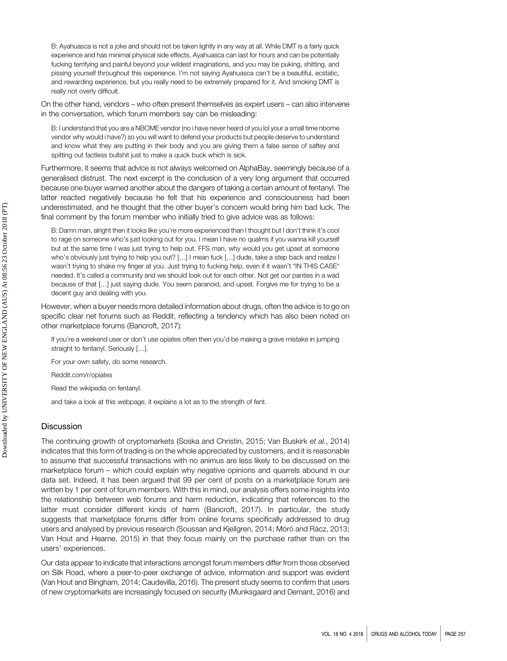B: Ayahuasca is not a joke and should not be taken lightly in any way at all. While DMT is a fairly quick experience and has minimal physical side effects, Ayahuasca can last for hours and can be potentially fucking terrifying and painful beyond your wildest imaginations, and you may be puking, shitting, and pissing yourself throughout this experience. I'm not saying Ayahuasca can't be a beautiful, ecstatic, and rewarding experience, but you really need to be extremely prepared for it. And smoking DMT is really not overly difficult.

On the other hand, vendors – who often present themselves as expert users – can also intervene in the conversation, which forum members say can be misleading:

B: I understand that you are a NBOME vendor (no i have never heard of you lol your a small time nbome vendor why would i have?) so you will want to defend your products but people deserve to understand and know what they are putting in their body and you are giving them a false sense of saftey and spitting out factless bullshit just to make a quick buck which is sick.

Furthermore, it seems that advice is not always welcomed on AlphaBay, seemingly because of a generalised distrust. The next excerpt is the conclusion of a very long argument that occurred because one buyer warned another about the dangers of taking a certain amount of fentanyl. The latter reacted negatively because he felt that his experience and consciousness had been underestimated, and he thought that the other buyer's concern would bring him bad luck. The final comment by the forum member who initially tried to give advice was as follows:

B: Damn man, alright then it looks like you're more experienced than I thought but I don't think it's cool to rage on someone who's just looking out for you. I mean I have no qualms if you wanna kill yourself but at the same time I was just trying to help out. FFS man, why would you get upset at someone who's obviously just trying to help you out? […] I mean fuck […] dude, take a step back and realize I wasn't trying to shake my finger at you. Just trying to fucking help, even if it wasn't \*IN THIS CASE\* needed. It's called a community and we should look out for each other. Not get our panties in a wad because of that […] just saying dude. You seem paranoid, and upset. Forgive me for trying to be a decent guy and dealing with you.

However, when a buyer needs more detailed information about drugs, often the advice is to go on specific clear net forums such as Reddit, reflecting a tendency which has also been noted on other marketplace forums (Bancroft, 2017):

If you're a weekend user or don't use opiates often then you'd be making a grave mistake in jumping straight to fentanyl. Seriously […].

For your own safety, do some research.

Reddit.com/r/opiates

Read the wikipedia on fentanyl.

and take a look at this webpage, it explains a lot as to the strength of fent.

# **Discussion**

The continuing growth of cryptomarkets (Soska and Christin, 2015; Van Buskirk et al., 2014) indicates that this form of trading is on the whole appreciated by customers, and it is reasonable to assume that successful transactions with no animus are less likely to be discussed on the marketplace forum – which could explain why negative opinions and quarrels abound in our data set. Indeed, it has been argued that 99 per cent of posts on a marketplace forum are written by 1 per cent of forum members. With this in mind, our analysis offers some insights into the relationship between web forums and harm reduction, indicating that references to the latter must consider different kinds of harm (Bancroft, 2017). In particular, the study suggests that marketplace forums differ from online forums specifically addressed to drug users and analysed by previous research (Soussan and Kjellgren, 2014; Móró and Rácz, 2013; Van Hout and Hearne, 2015) in that they focus mainly on the purchase rather than on the users' experiences.

Our data appear to indicate that interactions amongst forum members differ from those observed on Silk Road, where a peer-to-peer exchange of advice, information and support was evident (Van Hout and Bingham, 2014; Caudevilla, 2016). The present study seems to confirm that users of new cryptomarkets are increasingly focused on security (Munksgaard and Demant, 2016) and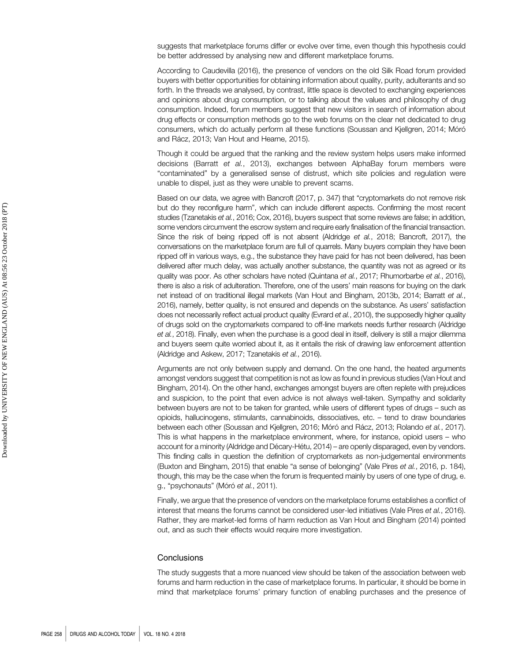suggests that marketplace forums differ or evolve over time, even though this hypothesis could be better addressed by analysing new and different marketplace forums.

According to Caudevilla (2016), the presence of vendors on the old Silk Road forum provided buyers with better opportunities for obtaining information about quality, purity, adulterants and so forth. In the threads we analysed, by contrast, little space is devoted to exchanging experiences and opinions about drug consumption, or to talking about the values and philosophy of drug consumption. Indeed, forum members suggest that new visitors in search of information about drug effects or consumption methods go to the web forums on the clear net dedicated to drug consumers, which do actually perform all these functions (Soussan and Kjellgren, 2014; Móró and Rácz, 2013; Van Hout and Hearne, 2015).

Though it could be argued that the ranking and the review system helps users make informed decisions (Barratt et al., 2013), exchanges between AlphaBay forum members were "contaminated" by a generalised sense of distrust, which site policies and regulation were unable to dispel, just as they were unable to prevent scams.

Based on our data, we agree with Bancroft (2017, p. 347) that "cryptomarkets do not remove risk but do they reconfigure harm", which can include different aspects. Confirming the most recent studies (Tzanetakis et al., 2016; Cox, 2016), buyers suspect that some reviews are false; in addition, some vendors circumvent the escrow system and require early finalisation of the financial transaction. Since the risk of being ripped off is not absent (Aldridge et al., 2018; Bancroft, 2017), the conversations on the marketplace forum are full of quarrels. Many buyers complain they have been ripped off in various ways, e.g., the substance they have paid for has not been delivered, has been delivered after much delay, was actually another substance, the quantity was not as agreed or its quality was poor. As other scholars have noted (Quintana et al., 2017; Rhumorbarbe et al., 2016), there is also a risk of adulteration. Therefore, one of the users' main reasons for buying on the dark net instead of on traditional illegal markets (Van Hout and Bingham, 2013b, 2014; Barratt et al., 2016), namely, better quality, is not ensured and depends on the substance. As users' satisfaction does not necessarily reflect actual product quality (Evrard et al., 2010), the supposedly higher quality of drugs sold on the cryptomarkets compared to off-line markets needs further research (Aldridge et al., 2018). Finally, even when the purchase is a good deal in itself, delivery is still a major dilemma and buyers seem quite worried about it, as it entails the risk of drawing law enforcement attention (Aldridge and Askew, 2017; Tzanetakis et al., 2016).

Arguments are not only between supply and demand. On the one hand, the heated arguments amongst vendors suggest that competition is not as low as found in previous studies (Van Hout and Bingham, 2014). On the other hand, exchanges amongst buyers are often replete with prejudices and suspicion, to the point that even advice is not always well-taken. Sympathy and solidarity between buyers are not to be taken for granted, while users of different types of drugs – such as opioids, hallucinogens, stimulants, cannabinoids, dissociatives, etc. – tend to draw boundaries between each other (Soussan and Kjellgren, 2016; Móró and Rácz, 2013; Rolando et al., 2017). This is what happens in the marketplace environment, where, for instance, opioid users – who account for a minority (Aldridge and Décary-Hétu, 2014) – are openly disparaged, even by vendors. This finding calls in question the definition of cryptomarkets as non-judgemental environments (Buxton and Bingham, 2015) that enable "a sense of belonging" (Vale Pires et al., 2016, p. 184), though, this may be the case when the forum is frequented mainly by users of one type of drug, e. g., "psychonauts" (Móró et al., 2011).

Finally, we argue that the presence of vendors on the marketplace forums establishes a conflict of interest that means the forums cannot be considered user-led initiatives (Vale Pires et al., 2016). Rather, they are market-led forms of harm reduction as Van Hout and Bingham (2014) pointed out, and as such their effects would require more investigation.

## **Conclusions**

The study suggests that a more nuanced view should be taken of the association between web forums and harm reduction in the case of marketplace forums. In particular, it should be borne in mind that marketplace forums' primary function of enabling purchases and the presence of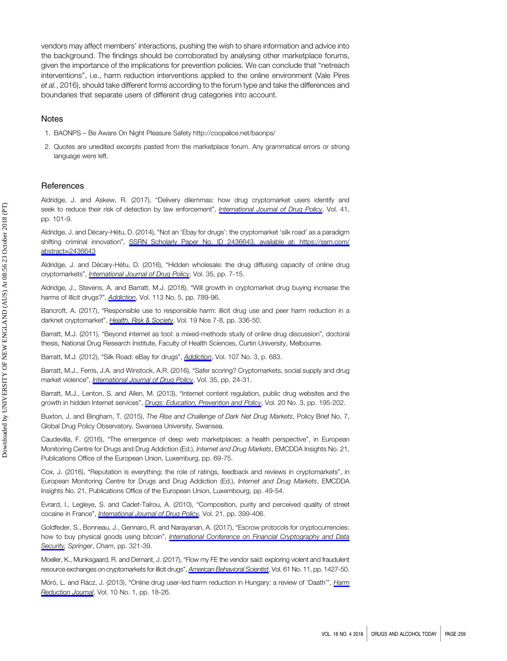vendors may affect members' interactions, pushing the wish to share information and advice into the background. The findings should be corroborated by analysing other marketplace forums, given the importance of the implications for prevention policies. We can conclude that "netreach interventions", i.e., harm reduction interventions applied to the online environment (Vale Pires et al., 2016), should take different forms according to the forum type and take the differences and boundaries that separate users of different drug categories into account.

## Notes

- 1. BAONPS Be Aware On Night Pleasure Safety<http://coopalice.net/baonps/>
- 2. Quotes are unedited excerpts pasted from the marketplace forum. Any grammatical errors or strong language were left.

## References

Aldridge, J. and Askew, R. (2017), "Delivery dilemmas: how drug cryptomarket users identify and seek to reduce their risk of detection by law enforcement", [International Journal of Drug Policy](https://www.emeraldinsight.com/action/showLinks?doi=10.1108%2FDAT-03-2018-0008&crossref=10.1016%2Fj.drugpo.2016.10.010&isi=000396954300014&citationId=p_1), Vol. 41, pp. 101-9.

Aldridge, J. and Décary-Hétu, D. (2014), "Not an 'Ebay for drugs': the cryptomarket 'silk road' as a paradigm shifting criminal innovation", [SSRN Scholarly Paper No. ID 2436643, available at: h](https://www.emeraldinsight.com/action/showLinks?doi=10.1108%2FDAT-03-2018-0008&crossref=10.2139%2Fssrn.2436643&citationId=p_2)[ttps://ssrn.com/](https://ssrn.com/abstract=2436643) abstract=[2436643](https://ssrn.com/abstract=2436643)

Aldridge, J. and Décary-Hétu, D. (2016), "Hidden wholesale: the drug diffusing capacity of online drug cryptomarkets", *[International Journal of Drug Policy](https://www.emeraldinsight.com/action/showLinks?doi=10.1108%2FDAT-03-2018-0008&crossref=10.1016%2Fj.drugpo.2016.04.020&isi=000383302200002&citationId=p_3)*, Vol. 35, pp. 7-15.

Aldridge, J., Stevens, A. and Barratt, M.J. (2018), "Will growth in cryptomarket drug buying increase the harms of illicit drugs?", *[Addiction](https://www.emeraldinsight.com/action/showLinks?doi=10.1108%2FDAT-03-2018-0008&crossref=10.1111%2Fadd.13899&isi=000429695200002&citationId=p_4)*, Vol. 113 No. 5, pp. 789-96.

Bancroft, A. (2017), "Responsible use to responsible harm: illicit drug use and peer harm reduction in a darknet cryptomarket", [Health, Risk & Society](https://www.emeraldinsight.com/action/showLinks?doi=10.1108%2FDAT-03-2018-0008&crossref=10.1080%2F13698575.2017.1415304&isi=000423308500001&citationId=p_5), Vol. 19 Nos 7-8, pp. 336-50.

Barratt, M.J. (2011), "Beyond internet as tool: a mixed-methods study of online drug discussion", doctoral thesis, National Drug Research Institute, Faculty of Health Sciences, Curtin University, Melbourne.

Barratt, M.J. (2012), "Silk Road: eBay for drugs", [Addiction](https://www.emeraldinsight.com/action/showLinks?doi=10.1108%2FDAT-03-2018-0008&crossref=10.1111%2Fj.1360-0443.2011.03709.x&isi=000299997000029&citationId=p_7), Vol. 107 No. 3, p. 683.

Barratt, M.J., Ferris, J.A. and Winstock, A.R. (2016), "Safer scoring? Cryptomarkets, social supply and drug market violence", [International Journal of Drug Policy](https://www.emeraldinsight.com/action/showLinks?doi=10.1108%2FDAT-03-2018-0008&crossref=10.1016%2Fj.drugpo.2016.04.019&isi=000383302200004&citationId=p_8), Vol. 35, pp. 24-31.

Barratt, M.J., Lenton, S. and Allen, M. (2013), "Internet content regulation, public drug websites and the growth in hidden Internet services", [Drugs: Education, Prevention and Policy](https://www.emeraldinsight.com/action/showLinks?doi=10.1108%2FDAT-03-2018-0008&crossref=10.3109%2F09687637.2012.745828&isi=000319036200004&citationId=p_9), Vol. 20 No. 3, pp. 195-202.

Buxton, J. and Bingham, T. (2015), The Rise and Challenge of Dark Net Drug Markets, Policy Brief No. 7, Global Drug Policy Observatory, Swansea University, Swansea.

Caudevilla, F. (2016), "The emergence of deep web marketplaces: a health perspective", in European Monitoring Centre for Drugs and Drug Addiction (Ed.), Internet and Drug Markets, EMCDDA Insights No. 21, Publications Office of the European Union, Luxemburg, pp. 69-75.

Cox, J. (2016), "Reputation is everything: the role of ratings, feedback and reviews in cryptomarkets", in European Monitoring Centre for Drugs and Drug Addiction (Ed.), Internet and Drug Markets, EMCDDA Insights No. 21, Publications Office of the European Union, Luxembourg, pp. 49-54.

Evrard, I., Legleye, S. and Cadet-Taïrou, A. (2010), "Composition, purity and perceived quality of street cocaine in France", [International Journal of Drug Policy](https://www.emeraldinsight.com/action/showLinks?doi=10.1108%2FDAT-03-2018-0008&crossref=10.1016%2Fj.drugpo.2010.03.004&isi=000281882900009&citationId=p_13), Vol. 21, pp. 399-406.

Goldfeder, S., Bonneau, J., Gennaro, R. and Narayanan, A. (2017), "Escrow protocols for cryptocurrencies: how to buy physical goods using bitcoin", [International Conference on Financial Cryptography and Data](https://www.emeraldinsight.com/action/showLinks?doi=10.1108%2FDAT-03-2018-0008&crossref=10.1007%2F978-3-319-70972-7_18&citationId=p_14) [Security,](https://www.emeraldinsight.com/action/showLinks?doi=10.1108%2FDAT-03-2018-0008&crossref=10.1007%2F978-3-319-70972-7_18&citationId=p_14) Springer, Cham, pp. 321-39.

Moeller, K., Munksgaard, R. and Demant, J. (2017), "Flow my FE the vendor said: exploring violent and fraudulent resource exchanges on cryptomarkets for illicit drugs", [American Behavioral Scientist](https://www.emeraldinsight.com/action/showLinks?doi=10.1108%2FDAT-03-2018-0008&crossref=10.1177%2F0002764217734269&isi=000414683100010&citationId=p_15), Vol. 61 No. 11, pp. 1427-50.

Móró, L. and Rácz, J. (2013), "Online drug user-led harm reduction in Hungary: a review of 'Daath'", [Harm](https://www.emeraldinsight.com/action/showLinks?doi=10.1108%2FDAT-03-2018-0008&crossref=10.1186%2F1477-7517-10-18&citationId=p_16) [Reduction Journal](https://www.emeraldinsight.com/action/showLinks?doi=10.1108%2FDAT-03-2018-0008&crossref=10.1186%2F1477-7517-10-18&citationId=p_16), Vol. 10 No. 1, pp. 18-26.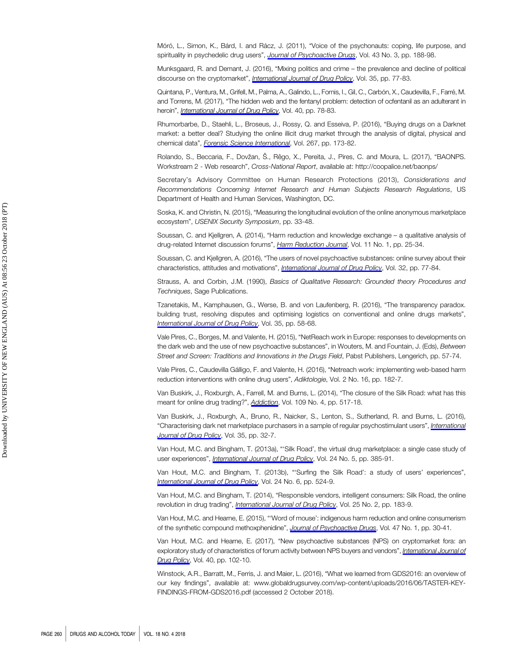Móró, L., Simon, K., Bárd, I. and Rácz, J. (2011), "Voice of the psychonauts: coping, life purpose, and spirituality in psychedelic drug users", [Journal of Psychoactive Drugs](https://www.emeraldinsight.com/action/showLinks?doi=10.1108%2FDAT-03-2018-0008&crossref=10.1080%2F02791072.2011.605661&isi=000295905100003&citationId=p_17), Vol. 43 No. 3, pp. 188-98.

Munksgaard, R. and Demant, J. (2016), "Mixing politics and crime – the prevalence and decline of political discourse on the cryptomarket", *[International Journal of Drug Policy](https://www.emeraldinsight.com/action/showLinks?doi=10.1108%2FDAT-03-2018-0008&crossref=10.1016%2Fj.drugpo.2016.04.021&isi=000383302200011&citationId=p_18)*, Vol. 35, pp. 77-83.

Quintana, P., Ventura, M., Grifell, M., Palma, A., Galindo, L., Fornis, I., Gil, C., Carbón, X., Caudevilla, F., Farré, M. and Torrens, M. (2017), "The hidden web and the fentanyl problem: detection of ocfentanil as an adulterant in heroin", [International Journal of Drug Policy](https://www.emeraldinsight.com/action/showLinks?doi=10.1108%2FDAT-03-2018-0008&crossref=10.1016%2Fj.drugpo.2016.10.006&isi=000394075600010&citationId=p_19), Vol. 40, pp. 78-83.

Rhumorbarbe, D., Staehli, L., Broseus, J., Rossy, Q. and Esseiva, P. (2016), "Buying drugs on a Darknet market: a better deal? Studying the online illicit drug market through the analysis of digital, physical and chemical data", [Forensic Science International](https://www.emeraldinsight.com/action/showLinks?doi=10.1108%2FDAT-03-2018-0008&crossref=10.1016%2Fj.forsciint.2016.08.032&isi=000386335100027&citationId=p_20), Vol. 267, pp. 173-82.

Rolando, S., Beccaria, F., Dovžan, Š., Rêgo, X., Pereita, J., Pires, C. and Moura, L. (2017), "BAONPS. Workstream 2 - Web research", Cross-National Report, available at:<http://coopalice.net/baonps/>

Secretary's Advisory Committee on Human Research Protections (2013), Considerations and Recommendations Concerning Internet Research and Human Subjects Research Regulations, US Department of Health and Human Services, Washington, DC.

Soska, K. and Christin, N. (2015), "Measuring the longitudinal evolution of the online anonymous marketplace ecosystem", USENIX Security Symposium, pp. 33-48.

Soussan, C. and Kjellgren, A. (2014), "Harm reduction and knowledge exchange – a qualitative analysis of drug-related Internet discussion forums", [Harm Reduction Journal](https://www.emeraldinsight.com/action/showLinks?doi=10.1108%2FDAT-03-2018-0008&crossref=10.1186%2F1477-7517-11-25&citationId=p_24), Vol. 11 No. 1, pp. 25-34.

Soussan, C. and Kjellgren, A. (2016), "The users of novel psychoactive substances: online survey about their characteristics, attitudes and motivations", [International Journal of Drug Policy](https://www.emeraldinsight.com/action/showLinks?doi=10.1108%2FDAT-03-2018-0008&crossref=10.1016%2Fj.drugpo.2016.03.007&isi=000378457700012&citationId=p_25), Vol. 32, pp. 77-84.

Strauss, A. and Corbin, J.M. (1990), Basics of Qualitative Research: Grounded theory Procedures and Techniques, Sage Publications.

Tzanetakis, M., Kamphausen, G., Werse, B. and von Laufenberg, R. (2016), "The transparency paradox. building trust, resolving disputes and optimising logistics on conventional and online drugs markets", [International Journal of Drug Policy](https://www.emeraldinsight.com/action/showLinks?doi=10.1108%2FDAT-03-2018-0008&crossref=10.1016%2Fj.drugpo.2015.12.010&isi=000383302200009&citationId=p_27), Vol. 35, pp. 58-68.

Vale Pires, C., Borges, M. and Valente, H. (2015), "NetReach work in Europe: responses to developments on the dark web and the use of new psychoactive substances", in Wouters, M. and Fountain, J. (Eds), Between Street and Screen: Traditions and Innovations in the Drugs Field, Pabst Publishers, Lengerich, pp. 57-74.

Vale Pires, C., Caudevilla Gálligo, F. and Valente, H. (2016), "Netreach work: implementing web-based harm reduction interventions with online drug users", Adiktologie, Vol. 2 No. 16, pp. 182-7.

Van Buskirk, J., Roxburgh, A., Farrell, M. and Burns, L. (2014), "The closure of the Silk Road: what has this meant for online drug trading?", **[Addiction](https://www.emeraldinsight.com/action/showLinks?doi=10.1108%2FDAT-03-2018-0008&crossref=10.1111%2Fadd.12422&isi=000334397900001&citationId=p_30)**, Vol. 109 No. 4, pp. 517-18.

Van Buskirk, J., Roxburgh, A., Bruno, R., Naicker, S., Lenton, S., Sutherland, R. and Burns, L. (2016), "Characterising dark net marketplace purchasers in a sample of regular psychostimulant users", [International](https://www.emeraldinsight.com/action/showLinks?doi=10.1108%2FDAT-03-2018-0008&crossref=10.1016%2Fj.drugpo.2016.01.010&isi=000383302200005&citationId=p_31) [Journal of Drug Policy](https://www.emeraldinsight.com/action/showLinks?doi=10.1108%2FDAT-03-2018-0008&crossref=10.1016%2Fj.drugpo.2016.01.010&isi=000383302200005&citationId=p_31), Vol. 35, pp. 32-7.

Van Hout, M.C. and Bingham, T. (2013a), "'Silk Road', the virtual drug marketplace: a single case study of user experiences", *[International Journal of Drug Policy](https://www.emeraldinsight.com/action/showLinks?doi=10.1108%2FDAT-03-2018-0008&crossref=10.1016%2Fj.drugpo.2013.01.005&isi=000326007100003&citationId=p_32)*, Vol. 24 No. 5, pp. 385-91.

Van Hout, M.C. and Bingham, T. (2013b), "'Surfing the Silk Road': a study of users' experiences", [International Journal of Drug Policy](https://www.emeraldinsight.com/action/showLinks?doi=10.1108%2FDAT-03-2018-0008&crossref=10.1016%2Fj.drugpo.2013.08.011&isi=000330918700003&citationId=p_33), Vol. 24 No. 6, pp. 524-9.

Van Hout, M.C. and Bingham, T. (2014), "Responsible vendors, intelligent consumers: Silk Road, the online revolution in drug trading", [International Journal of Drug Policy](https://www.emeraldinsight.com/action/showLinks?doi=10.1108%2FDAT-03-2018-0008&crossref=10.1016%2Fj.drugpo.2013.10.009&isi=000334139200001&citationId=p_34), Vol. 25 No. 2, pp. 183-9.

Van Hout, M.C. and Hearne, E. (2015), "'Word of mouse': indigenous harm reduction and online consumerism of the synthetic compound methoxphenidine", [Journal of Psychoactive Drugs](https://www.emeraldinsight.com/action/showLinks?doi=10.1108%2FDAT-03-2018-0008&crossref=10.1080%2F02791072.2014.974002&isi=000349897500005&citationId=p_35), Vol. 47 No. 1, pp. 30-41.

Van Hout, M.C. and Hearne, E. (2017), "New psychoactive substances (NPS) on cryptomarket fora: an exploratory study of characteristics of forum activity between NPS buyers and vendors", [International Journal of](https://www.emeraldinsight.com/action/showLinks?doi=10.1108%2FDAT-03-2018-0008&crossref=10.1016%2Fj.drugpo.2016.11.007&isi=000394075600013&citationId=p_36) [Drug Policy](https://www.emeraldinsight.com/action/showLinks?doi=10.1108%2FDAT-03-2018-0008&crossref=10.1016%2Fj.drugpo.2016.11.007&isi=000394075600013&citationId=p_36), Vol. 40, pp. 102-10.

Winstock, A.R., Barratt, M., Ferris, J. and Maier, L. (2016), "What we learned from GDS2016: an overview of our key findings", available at: [www.globaldrugsurvey.com/wp-content/uploads/2016/06/TASTER-KEY-](www.globaldrugsurvey.com/wp-content/uploads/2016/06/TASTER-KEY-FINDINGS-FROM-GDS2016.pdf)[FINDINGS-FROM-GDS2016.pdf](www.globaldrugsurvey.com/wp-content/uploads/2016/06/TASTER-KEY-FINDINGS-FROM-GDS2016.pdf) (accessed 2 October 2018).